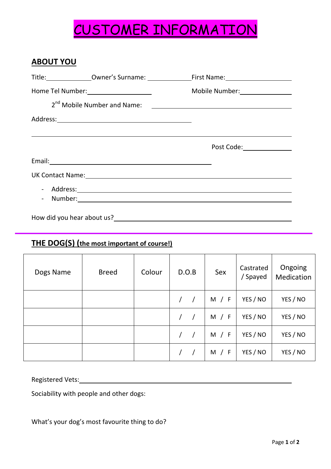## CUSTOMER INFORMATION

## **ABOUT YOU**

| Home Tel Number: ______________________ |                                                                                                                |                             |  |
|-----------------------------------------|----------------------------------------------------------------------------------------------------------------|-----------------------------|--|
|                                         |                                                                                                                |                             |  |
|                                         |                                                                                                                |                             |  |
|                                         |                                                                                                                |                             |  |
|                                         |                                                                                                                | Post Code: ________________ |  |
|                                         |                                                                                                                |                             |  |
|                                         | UK Contact Name: 1988 and 2008 and 2008 and 2010 and 2010 and 2010 and 2010 and 2010 and 2010 and 2010 and 201 |                             |  |
|                                         |                                                                                                                |                             |  |
|                                         |                                                                                                                |                             |  |
|                                         |                                                                                                                |                             |  |

**THE DOG(S) (the most important of course!)**

| Dogs Name | <b>Breed</b> | Colour | D.O.B      | Sex   | Castrated<br>Spayed | Ongoing<br>Medication |
|-----------|--------------|--------|------------|-------|---------------------|-----------------------|
|           |              |        | $\sqrt{2}$ | M / F | YES / NO            | YES / NO              |
|           |              |        |            | M / F | YES / NO            | YES / NO              |
|           |              |        |            | M / F | YES / NO            | YES / NO              |
|           |              |        |            | M / F | YES / NO            | YES / NO              |

Registered Vets:

Sociability with people and other dogs:

What's your dog's most favourite thing to do?